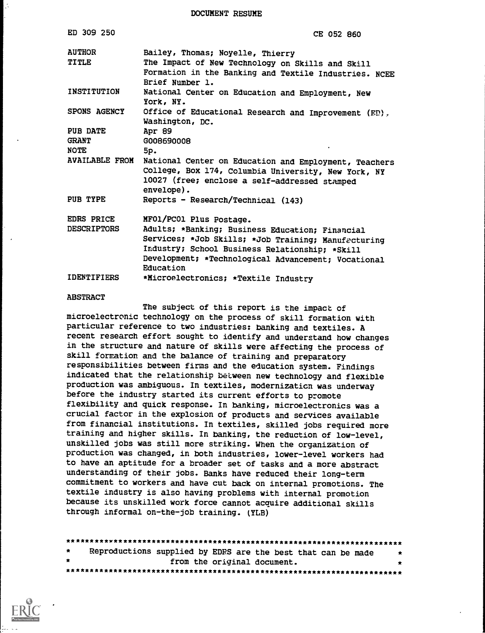DOCUMENT RESUME

| ED 309 250             | CE 052 860                                                                                                                                                                                                                   |  |  |  |  |  |  |  |
|------------------------|------------------------------------------------------------------------------------------------------------------------------------------------------------------------------------------------------------------------------|--|--|--|--|--|--|--|
| <b>AUTHOR</b><br>TITLE | Bailey, Thomas; Noyelle, Thierry<br>The Impact of New Technology on Skills and Skill<br>Formation in the Banking and Textile Industries. NCEE<br>Brief Number 1.                                                             |  |  |  |  |  |  |  |
| INSTITUTION            | National Center on Education and Employment, New<br>York, NY.                                                                                                                                                                |  |  |  |  |  |  |  |
| <b>SPONS AGENCY</b>    | Office of Educational Research and Improvement (ED),<br>Washington, DC.                                                                                                                                                      |  |  |  |  |  |  |  |
| PUB DATE               | Apr 89                                                                                                                                                                                                                       |  |  |  |  |  |  |  |
| <b>GRANT</b>           | G008690008                                                                                                                                                                                                                   |  |  |  |  |  |  |  |
| NOTE                   | 5p.                                                                                                                                                                                                                          |  |  |  |  |  |  |  |
| <b>AVAILABLE FROM</b>  | National Center on Education and Employment, Teachers<br>College, Box 174, Columbia University, New York, NY<br>10027 (free; enclose a self-addressed stamped<br>envelope).                                                  |  |  |  |  |  |  |  |
| PUB TYPE               | Reports - Research/Technical (143)                                                                                                                                                                                           |  |  |  |  |  |  |  |
| EDRS PRICE             | MF01/PC01 Plus Postage.                                                                                                                                                                                                      |  |  |  |  |  |  |  |
| <b>DESCRIPTORS</b>     | Adults; *Banking; Business Education; Financial<br>Services; *Job Skills; *Job Training; Manufacturing<br>Industry; School Business Relationship; *Skill<br>Development; *Technological Advancement; Vocational<br>Education |  |  |  |  |  |  |  |
| <b>IDENTIFIERS</b>     | *Microelectronics; *Textile Industry                                                                                                                                                                                         |  |  |  |  |  |  |  |

#### ABSTRACT

The subject of this report is the impact of microelectronic technology on the process of skill formation with particular reference to two industries: banking and textiles. A recent research effort sought to identify and understand how changes in the structure and nature of skills were affecting the process of skill formation and the balance of training and preparatory responsibilities between firms and the education system. Findings indicated that the relationship between new technology and flexible production was ambiguous. In textiles, modernizaticn was underway before the industry started its current efforts to promote flexibility and quick response. In banking, microelectronics was a crucial factor in the explosion of products and services available from financial institutions. In textiles, skilled jobs required more training and higher skills. In banking, the reduction of low-level, unskilled jobs was still more striking. When the organization of production was changed, in both industries, lower-level workers had to have an aptitude for a broader set of tasks and a more abstract understanding of their jobs. Banks have reduced their long-term commitment to workers and have cut back on internal promotions. The textile industry is also having problems with internal promotion because its unskilled work force cannot acquire additional skills through informal on-the-job training. (YLB)

| $\star$   | Reproductions supplied by EDRS are the best that can be made |                             |  |  |  |  | $\star$ |
|-----------|--------------------------------------------------------------|-----------------------------|--|--|--|--|---------|
| $\bullet$ |                                                              | from the original document. |  |  |  |  |         |
|           |                                                              |                             |  |  |  |  |         |

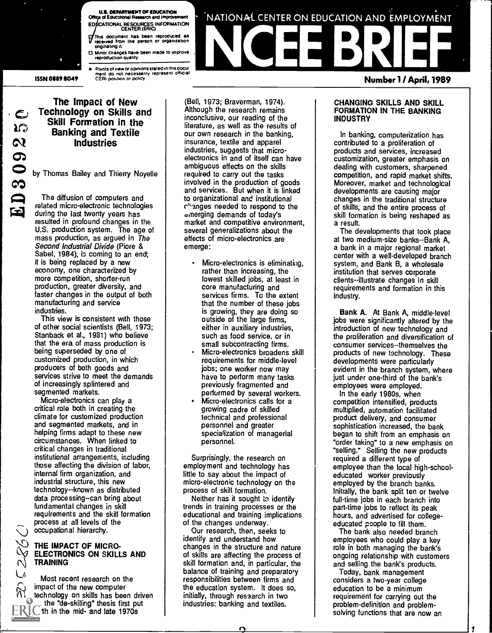

ISSN 0889 8049

**.S. DEPARTMENT OF EDUCATION<br>of Educational Research and Improvement** ED CATIONAL RESOURCES INFORMATION CENTER (ERIC) received from the person or organization °hymning it □ Minor changes have been made to improve ,<br>reproduction quality

Points of view or opinions stated in this document.<br>ment ido inot inecessarily irepresent iofficial.<br>CERt position or policy

# The Impact of New Technology on Skills and<br>Skill Formation in the  $\frac{d}{d}$  Skill Formation in the Banking and Textile Industries

by Thomas Bailey and Thierry Noyelle

1=4 related micro-electronic technologies The diffusion of computers and during the last twenty years has resulted in profound changes in the U.S. production system. The age of mass production, as argued in The Second Industrial Divide (Piore & Sabel, 1984), is coming to an end; it is being replaced by a new economy, one characterized by more competition, shorter-run production, greater diversity, and faster changes in the output of both manufacturing and service industries.

This view is consistent with those of other social scientists (Bell, 1973; Stanback et al., 1981) who believe that the era of mass production is being superseded by one of customized production, in which producers of both goods and services strive to meet the demands of increasingly splintered and segmented markets.

Micro-electronics can play a critical role both in creating the climate for customized production and segmented markets, and in helping firms adapt to these new circumstances. When linked to critical changes in traditional institutional arrangements, including those affecting the division of labor, internal firm organization, and industrial structure, this new technology- -known as distributed data processing--can bring about fundamental changes in skill requirements and the skill formation process at all levels of the occupational hierarchy.

### THE IMPACT OF MICRO-ELECTRONICS ON SKILLS AND TRAINING

Most recent research on the impact of the new computer technology on skills has been driven the "de-skilling" thesis first put  $FKC$  th in the mid- and late 1970s

(Bell, 1973; Braverman, 1974). Although the research remains inconclusive, our reading of the literature, as well as the results of our own research in the banking, insurance, textile and apparel industries, suggests that microelectronics in and of itself can have ambiguous effects on the skills required to carry out the tasks involved in the production of goods and services. But when it is linked to organizational and institutional changes needed to respond to the emerging demands of today's market and competitive environment, several generalizations about the effects of micro-electronics are emerge:

- Micro-electronics is eliminating, rather than increasing, the lowest skilled jobs, at least in core manufacturing and services firms. To the extent that the number of these jobs is growing, they are doing so outside of the large firms, either in auxiliary industries, such as food service, or in small subcontracting firms.
- Micro-electronics broadens skill requirements for middle-level jobs; one worker now may have to perform many tasks previously fragmented and performed by several workers.
- Micro-electronics calls for a growing cadre of skilled technical and professional personnel and greater specialization of managerial personnel.

Surprisingly, the research on employment and technology has little to say about the impact of micro-electronic technology on the process of skill formation.

Neither has it sought to identify trends in training processes or the educational and training implications of the changes underway.

Our research, then, seeks to identify and understand how changes in the structure and nature of skills are affecting the process of skill formation and, in particular, the balance of training and preparatory responsibilities between firms and the education system. It does so, initially, through research in two industries: banking and textiles.

# NCEE BRIEF Number 1 / April, 1989

#### CHANGING SKILLS AND SKILL FORMATION IN THE BANKING INDUSTRY

'NATIONAL CENTER ON EDUCATION AND EMPLOYMENT.

In banking, computerization has contributed to a proliferation of products and services, increased customization, greater emphasis on dealing with customers, sharpened competition, and rapid market shifts. Moreover, market and technological developments are causing major changes in the traditional structure of skills, and the entire process of skill formation is being reshaped as a result.

The developments that took place at two medium-size banks--Bank A, a bank in a major regional market center with a well-developed branch system, and Bank B, a wholesale institution that serves corporate clients--illustrate changes in skill requirements and formation in this industry.

Bank A. At Bank A, middle-level jobs were significantly altered by the introduction of new technology and the proliferation and diversification of consumer services--themselves the products of new technology. These developments were particularly evident in the branch system, where just under one-third of the bank's employees were employed.

In the early 1980s, when competition intensified, products multiplied, automation facilitated product delivery, and consumer sophistication increased, the bank began to shift from an emphasis on "order taking" to a new emphasis on "selling." Selling the new products required a different type of employee than the local high-schooleducated worker previously employed by the branch banks. Initially, the bank split ten or twelve full-time jobs in each branch into part-time jobs to reflect its peak hours, and advertised for collegeeducated poople to fill them.

The bank also needed branch employees who could play a key role in both managing the bank's ongoing relationship with customers and selling the bank's products.

Today, bank management considers a two-year college education to be a minimum requirement for carrying out the problem-definition and problemsolving functions that are now an

1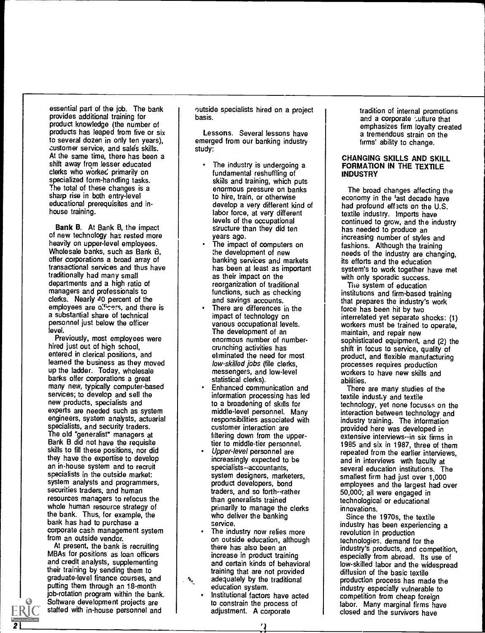essential part of the job. The bank provides additional training for product knowledge (the number of products has leaped from five or six to several dozen in only ten years), customer service, and sales skills. At the same time, there has been a shift away from lesser educated clerks who worked primarily on specialized form-handling tasks. The total of these changes is a sharp rise in both entry-level educational prerequisites and inhouse training.

Bank B. At Bank B, the impact of new technology has rested more heavily on upper-level employees. Wholesale banks, such as Bank B, offer corporations a broad array of transactional services and thus have traditionally had many small departments and a high ratio of managers and professionals to clerks. Nearly 40 percent of the employees are officers, and there is a substantial share of technical personnel just below the officer level.

Previously, most employees were hired just out of high school, entered in clerical positions, and learned the business as they moved up the ladder. Today, wholesale banks offer corporations a great many new, typically computer-based services; to develop and sell the new products, specialists and experts are needed such as system engineers, system analysts, actuarial specialists, and security traders. The old "generalist" managers at Bank B did not have the requisite skills to fill these positions, nor did they have the expertise to develop an in-house system and to recruit specialists in the outside market: system analysts and programmers, securities traders, and human resources managers to refocus the whole human resource strategy of the bank. Thus, for example, the bank has had to purchase a corporate cash management system from an outside vendor.

At present, the bank is recruiting MBAs for positions as loan officers and credit analysts, supplementing their training by sending them to graduate-level finance courses, and putting them through an 18-month job-rotation program within the bank. Software development projects are staffed with in-house personnel and

2 L<sub>\_\_\_\_\_\_\_\_</sub>

outside specialists hired on a project basis.

Lessons. Several lessons have emerged from our banking industry study:

- The industry is undergoing a fundamental reshuffling of skills and training, which puts enormous pressure on banks to hire, train, or otherwise develop a very different kind of labor force, at very different levels of the occupational structure than they did ten years ago.
- The impact of computers on the development of new banking services and markets has been at least as important as their impact on the reorganization of traditional functions, such as checking and savings accounts.
- There are differences in the impact of technology on various occupational levels. The development of an enormous number of numbercrunching activities has eliminated the need for most low-skilled jobs (file clerks, messengers, and low-level statistical clerks).
- Enhanced communication and information processing has led to a broadening of skills for middle-level personnel. Many responsibilities associated with customer interaction are filtering down from the uppertier to middle-tier personnel.
- Upper-level personnel are increasingly expected to be specialists--accountants, system designers, marketers, product developers, bond traders, and so forth--rather than generalists trained primarily to manage the clerks who deliver the banking service.
- The industry now relies more on outside education, although there has also been an increase in product training and certain kinds of behavioral training that are not provided adequately by the traditional
- education system. Institutional factors have acted to constrain the process of adjustment. A corporate

tradition of internal promotions and a corporate culture that emphasizes firm loyalty created a tremendous strain on the firms' ability to change.

#### CHANGING SKILLS AND SKILL FORMATION IN THE TEXTILE INDUSTRY

The broad changes affecting the economy in the 'ast decade have had profound effects on the U.S. textile industry. Imports have continued to grow, and the industry has needed to produce an increasing number of styles and fashions. Although the training needs of the industry are changing, its efforts and the education system's to work together have met with only sporadic success.

The system of education institutions and firm-based training that prepares the industry's work force has been hit by two interrelated yet separate shocks: (1) workers must be trained to operate, maintain, and repair new sophisticated equipment, and (2) the shift in focus to service, quality of product, and flexible manufacturing processes requires production workers to have new skills and abilities.

There are many studies of the textile indust y and textile technology, yet none focuses on the interaction between technology and industry training. The information provided here was developed in extensive interviews--in six firms in 1985 and six in 1987, three of them repeated from the earlier interviews, and in interviews with faculty at several education institutions. The smallest firm had just over 1,000 employees and the largest had over 50,000; all were engaged in technological or educational innovations.

Since the 1970s, the textile industry has been experiencing a revolution in production technologies, demand for the industry's products, and competition, especially from abroad. Its use of low-skilled labor and the widespread diffusion of the basic textile production process has made the industry especially vulnerable to competition from cheap foreign labor. Many marginal firms have closed and the survivors have

 $\alpha$  flat  $\alpha$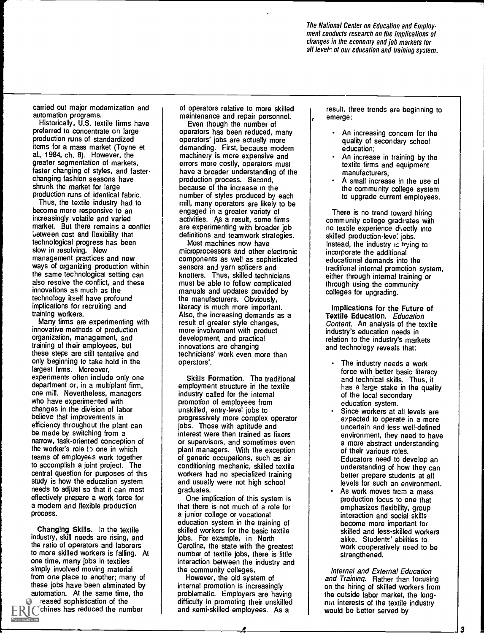The National Center on Education and Employment conducts research on the implications of changes in the economy and job markets for all levels of our education and training system.

carried out major modernization and automation programs.

Historically, U.S. textile firms have preferred to concentrate on large production runs of standardized items for a mass market (Toyne et al., 1984, ch. 8). However, the greater segmentation of markets, faster changing of styles, and fasterchanging fashion seasons have shrunk the market for large production runs of identical fabric.

Thus, the textile industry had to become more responsive to an increasingly volatile and varied market. But there remains a conflict between cost and flexibility that technological progress has been slow in resolving. New management practices and new ways of organizing production within the same technological setting can also resolve the conflict, and these innovations as much as the technology itself have profound implications for recruiting and training workers.

Many firms are experimenting with innovative methods of production organization, management, and training of their employees, but these steps are still tentative and only beginning to take hold in the largest firms. Moreover, experiments often include only one department or, in a multiplant firm, one mill. Nevertheless, managers who have experimented with chances in the division of labor believe that improvements in efficiency throughout the plant can be made by switching from a narrow, task-oriented conception of the worker's role to one in which teams of employees work together to accomplish a joint project. The central question for purposes of this study is how the education system needs to adjust so that it can most effectively prepare a work force for a modern and flexible production process.

Changing Skills. In the textile industry, skill needs are rising, and the ratio of operators and laborers to more skilled workers is falling. At one time, many jobs in textiles simply involved moving material from one place to another; many of these jobs have been eliminated by automation. At the same time, the reased sophistication of the chines has reduced the number

of operators relative to more skilled maintenance and repair personnel.

Even though the number of operators has been reduced, many operators' jobs are actually more demanding. First, because modern machinery is more expensive and errors more costly, operators must have a broader understanding of the production process. Second, because of the increase in the number of styles produced by each mill, many operators are likely to be engaged in a greater variety of activities. As a result, some firms are experimenting with broader job definitions and teamwork strategies.

Most machines now have microprocessors and other electronic components as well as sophisticated sensors and yarn splicers and knotters. Thus, skilled technicians must be able to follow complicated manuals and updates provided by the manufacturers. Obviously, literacy is much more important. Also, the increasing demands as a result of greater style changes, more involvement with product development, and practical innovations are changing technicians' work even more than operators'.

Skills Formation. The traditional employment structure in the textile industry called for the internal promotion of employees from unskilled, entry-level jobs to progressively more complex operator jobs. Those with aptitude and interest were then trained as fixers or supervisors, and sometimes even plant managers. With the exception of generic occupations, such as air conditioning mechanic, skilled textile workers had no specialized training and usually were not high school graduates.

One implication of this system is that there is not much of a role for a junior college or vocational education system in the training of skilled workers for the basic textile jobs. For example, in North Carolina, the state with the greatest number of textile jobs, there is little interaction between the industry and the community colleges.

However, the old system of internal promotion is increasingly problematic. Employers are having difficulty in promoting their unskilled and semi-skilled employees. As a

 $\overline{\mathbf{a}}$ 

result, three trends are beginning to emerge:

- An increasing concern for the quality of secondary school education;
- An increase in training by the textile firms and equipment manufacturers;
- A small increase in the use of the community college system to upgrade current employees.

There is no trend toward hiring community college gradi ates with no textile experience di,ectly into skilled production level jobs. Instead, the industry is trying to incorporate the additional educational demands into the traditional internal promotion system, either through internal training or through using the community colleges for upgrading.

Implications for the Future of Textile Education. Education Content. An analysis of the textile industry's education needs in relation to the industry's markets and technology reveals that:

- The industry needs a work force with better basic literacy and technical skills. Thus, it has a large stake in the quality of the local secondary education system.
- Since workers at all levels are expected to operate in a more uncertain and less well-defined environment, they need to have a more abstract understanding of their various roles. Educators need to develop an understanding of how they can better prepare students at all levels for such an environment.
- As work moves from a mass production focus to one that emphasizes flexibility, group interaction and social skills become more important for skilled and less-skilled workers alike. Students' abilities to work cooperatively need to be strengthened.

Internal and External Education and Training. Rather than focusing on the hiring of skilled workers from the outside labor market, the longrim interests of the textile industry would be better served by